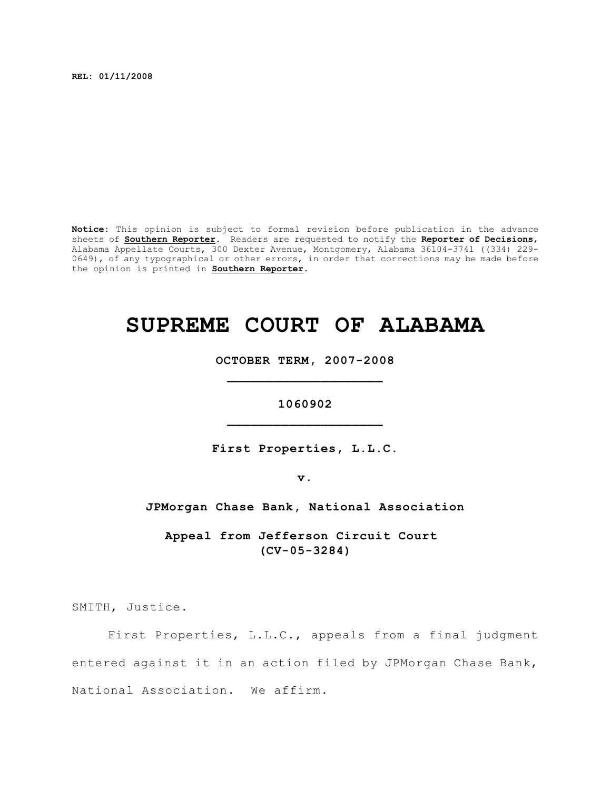**REL: 01/11/2008**

**Notice:** This opinion is subject to formal revision before publication in the advance sheets of **Southern Reporter**. Readers are requested to notify the **Reporter of Decisions**, Alabama Appellate Courts, 300 Dexter Avenue, Montgomery, Alabama 36104-3741 ((334) 229- 0649), of any typographical or other errors, in order that corrections may be made before the opinion is printed in **Southern Reporter**.

# **SUPREME COURT OF ALABAMA**

**OCTOBER TERM, 2007-2008 \_\_\_\_\_\_\_\_\_\_\_\_\_\_\_\_\_\_\_\_**

# **1060902 \_\_\_\_\_\_\_\_\_\_\_\_\_\_\_\_\_\_\_\_**

**First Properties, L.L.C.**

**v.**

**JPMorgan Chase Bank, National Association**

**Appeal from Jefferson Circuit Court (CV-05-3284)**

SMITH, Justice.

First Properties, L.L.C., appeals from a final judgment entered against it in an action filed by JPMorgan Chase Bank, National Association. We affirm.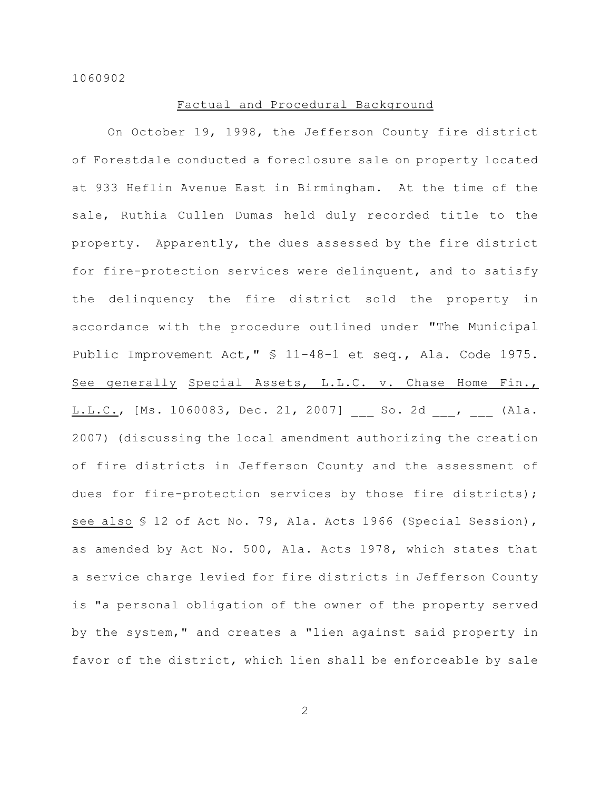# Factual and Procedural Background

On October 19, 1998, the Jefferson County fire district of Forestdale conducted a foreclosure sale on property located at 933 Heflin Avenue East in Birmingham. At the time of the sale, Ruthia Cullen Dumas held duly recorded title to the property. Apparently, the dues assessed by the fire district for fire-protection services were delinquent, and to satisfy the delinquency the fire district sold the property in accordance with the procedure outlined under "The Municipal Public Improvement Act," § 11-48-1 et seq., Ala. Code 1975. See generally Special Assets, L.L.C. v. Chase Home Fin., L.L.C., [Ms. 1060083, Dec. 21, 2007] \_\_\_ So. 2d \_\_, \_\_\_ (Ala. 2007) (discussing the local amendment authorizing the creation of fire districts in Jefferson County and the assessment of dues for fire-protection services by those fire districts); see also § 12 of Act No. 79, Ala. Acts 1966 (Special Session), as amended by Act No. 500, Ala. Acts 1978, which states that a service charge levied for fire districts in Jefferson County is "a personal obligation of the owner of the property served by the system," and creates a "lien against said property in favor of the district, which lien shall be enforceable by sale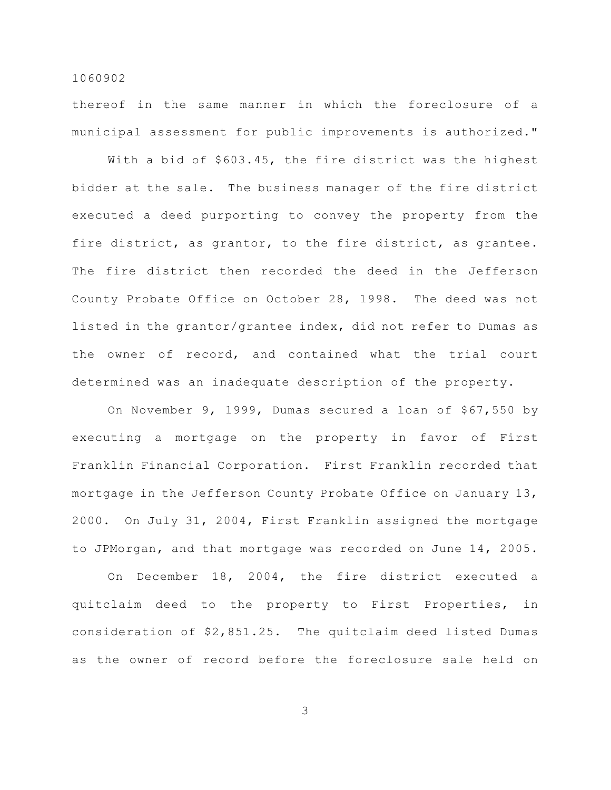thereof in the same manner in which the foreclosure of a municipal assessment for public improvements is authorized."

With a bid of \$603.45, the fire district was the highest bidder at the sale. The business manager of the fire district executed a deed purporting to convey the property from the fire district, as grantor, to the fire district, as grantee. The fire district then recorded the deed in the Jefferson County Probate Office on October 28, 1998. The deed was not listed in the grantor/grantee index, did not refer to Dumas as the owner of record, and contained what the trial court determined was an inadequate description of the property.

On November 9, 1999, Dumas secured a loan of \$67,550 by executing a mortgage on the property in favor of First Franklin Financial Corporation. First Franklin recorded that mortgage in the Jefferson County Probate Office on January 13, 2000. On July 31, 2004, First Franklin assigned the mortgage to JPMorgan, and that mortgage was recorded on June 14, 2005.

On December 18, 2004, the fire district executed a quitclaim deed to the property to First Properties, in consideration of \$2,851.25. The quitclaim deed listed Dumas as the owner of record before the foreclosure sale held on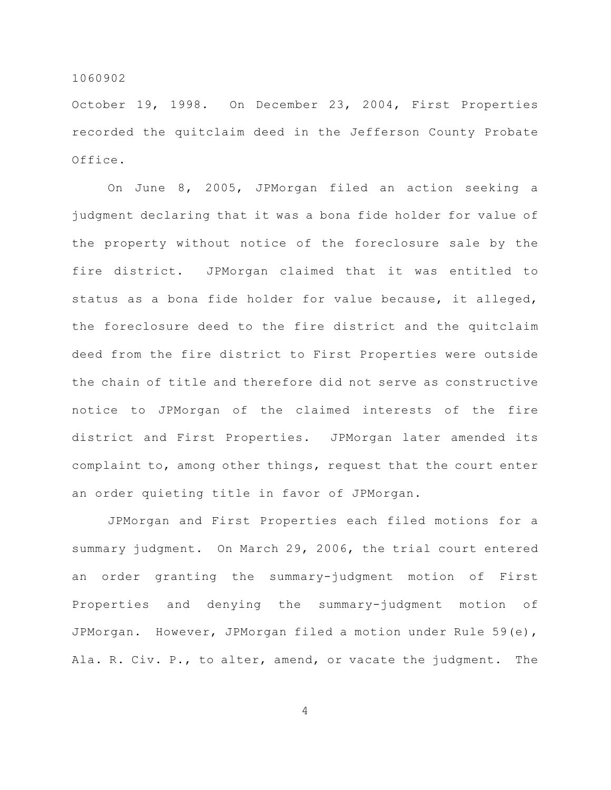October 19, 1998. On December 23, 2004, First Properties recorded the quitclaim deed in the Jefferson County Probate Office.

On June 8, 2005, JPMorgan filed an action seeking a judgment declaring that it was a bona fide holder for value of the property without notice of the foreclosure sale by the fire district. JPMorgan claimed that it was entitled to status as a bona fide holder for value because, it alleged, the foreclosure deed to the fire district and the quitclaim deed from the fire district to First Properties were outside the chain of title and therefore did not serve as constructive notice to JPMorgan of the claimed interests of the fire district and First Properties. JPMorgan later amended its complaint to, among other things, request that the court enter an order quieting title in favor of JPMorgan.

JPMorgan and First Properties each filed motions for a summary judgment. On March 29, 2006, the trial court entered an order granting the summary-judgment motion of First Properties and denying the summary-judgment motion of JPMorgan. However, JPMorgan filed a motion under Rule 59(e), Ala. R. Civ. P., to alter, amend, or vacate the judgment. The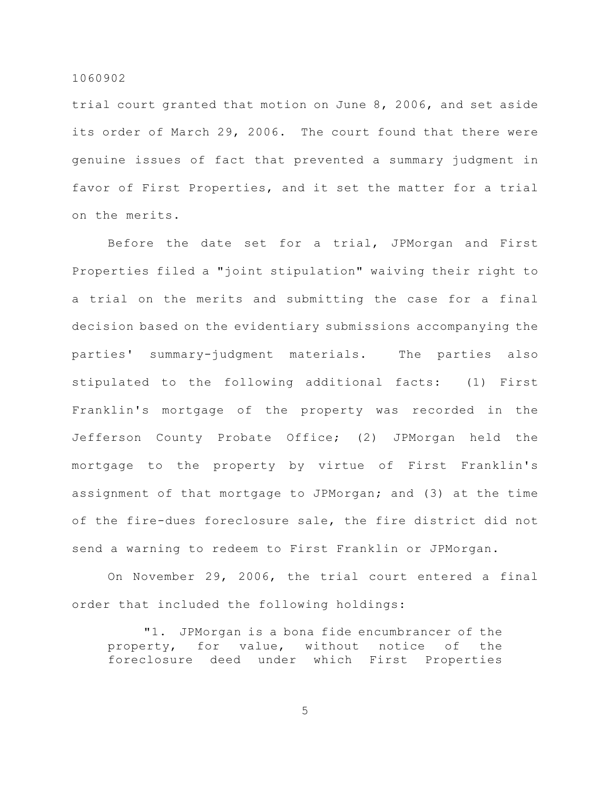trial court granted that motion on June 8, 2006, and set aside its order of March 29, 2006. The court found that there were genuine issues of fact that prevented a summary judgment in favor of First Properties, and it set the matter for a trial on the merits.

Before the date set for a trial, JPMorgan and First Properties filed a "joint stipulation" waiving their right to a trial on the merits and submitting the case for a final decision based on the evidentiary submissions accompanying the parties' summary-judgment materials. The parties also stipulated to the following additional facts: (1) First Franklin's mortgage of the property was recorded in the Jefferson County Probate Office; (2) JPMorgan held the mortgage to the property by virtue of First Franklin's assignment of that mortgage to JPMorgan; and (3) at the time of the fire-dues foreclosure sale, the fire district did not send a warning to redeem to First Franklin or JPMorgan.

On November 29, 2006, the trial court entered a final order that included the following holdings:

"1. JPMorgan is a bona fide encumbrancer of the property, for value, without notice of the foreclosure deed under which First Properties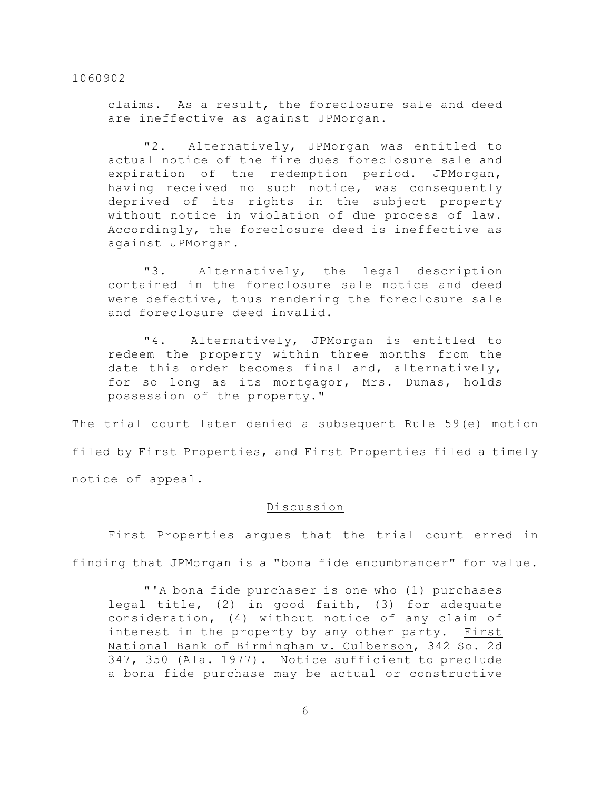claims. As a result, the foreclosure sale and deed are ineffective as against JPMorgan.

"2. Alternatively, JPMorgan was entitled to actual notice of the fire dues foreclosure sale and expiration of the redemption period. JPMorgan, having received no such notice, was consequently deprived of its rights in the subject property without notice in violation of due process of law. Accordingly, the foreclosure deed is ineffective as against JPMorgan.

"3. Alternatively, the legal description contained in the foreclosure sale notice and deed were defective, thus rendering the foreclosure sale and foreclosure deed invalid.

"4. Alternatively, JPMorgan is entitled to redeem the property within three months from the date this order becomes final and, alternatively, for so long as its mortgagor, Mrs. Dumas, holds possession of the property."

The trial court later denied a subsequent Rule 59(e) motion filed by First Properties, and First Properties filed a timely notice of appeal.

# Discussion

First Properties argues that the trial court erred in finding that JPMorgan is a "bona fide encumbrancer" for value.

"'A bona fide purchaser is one who (1) purchases legal title, (2) in good faith, (3) for adequate consideration, (4) without notice of any claim of interest in the property by any other party. First National Bank of Birmingham v. Culberson, 342 So. 2d 347, 350 (Ala. 1977). Notice sufficient to preclude a bona fide purchase may be actual or constructive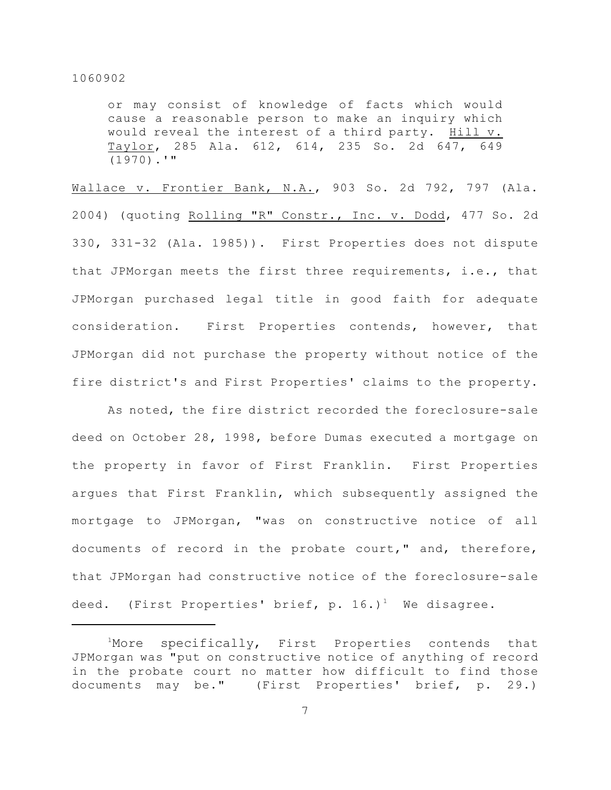or may consist of knowledge of facts which would cause a reasonable person to make an inquiry which would reveal the interest of a third party. Hill v. Taylor, 285 Ala. 612, 614, 235 So. 2d 647, 649 (1970).'"

Wallace v. Frontier Bank, N.A., 903 So. 2d 792, 797 (Ala. 2004) (quoting Rolling "R" Constr., Inc. v. Dodd, 477 So. 2d 330, 331-32 (Ala. 1985)). First Properties does not dispute that JPMorgan meets the first three requirements, i.e., that JPMorgan purchased legal title in good faith for adequate consideration. First Properties contends, however, that JPMorgan did not purchase the property without notice of the fire district's and First Properties' claims to the property.

As noted, the fire district recorded the foreclosure-sale deed on October 28, 1998, before Dumas executed a mortgage on the property in favor of First Franklin. First Properties argues that First Franklin, which subsequently assigned the mortgage to JPMorgan, "was on constructive notice of all documents of record in the probate court," and, therefore, that JPMorgan had constructive notice of the foreclosure-sale deed. (First Properties' brief, p.  $16.$ )<sup>1</sup> We disagree.

 $1$ More specifically, First Properties contends that JPMorgan was "put on constructive notice of anything of record in the probate court no matter how difficult to find those documents may be." (First Properties' brief, p. 29.)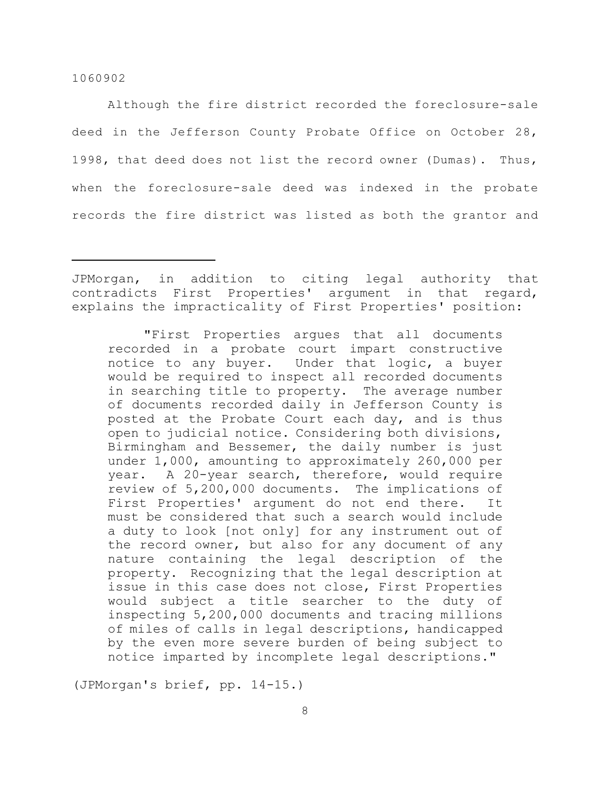Although the fire district recorded the foreclosure-sale deed in the Jefferson County Probate Office on October 28, 1998, that deed does not list the record owner (Dumas). Thus, when the foreclosure-sale deed was indexed in the probate records the fire district was listed as both the grantor and

"First Properties argues that all documents recorded in a probate court impart constructive notice to any buyer. Under that logic, a buyer would be required to inspect all recorded documents in searching title to property. The average number of documents recorded daily in Jefferson County is posted at the Probate Court each day, and is thus open to judicial notice. Considering both divisions, Birmingham and Bessemer, the daily number is just under 1,000, amounting to approximately 260,000 per year. A 20-year search, therefore, would require review of 5,200,000 documents. The implications of First Properties' argument do not end there. It must be considered that such a search would include a duty to look [not only] for any instrument out of the record owner, but also for any document of any nature containing the legal description of the property. Recognizing that the legal description at issue in this case does not close, First Properties would subject a title searcher to the duty of inspecting 5,200,000 documents and tracing millions of miles of calls in legal descriptions, handicapped by the even more severe burden of being subject to notice imparted by incomplete legal descriptions."

(JPMorgan's brief, pp. 14-15.)

JPMorgan, in addition to citing legal authority that contradicts First Properties' argument in that regard, explains the impracticality of First Properties' position: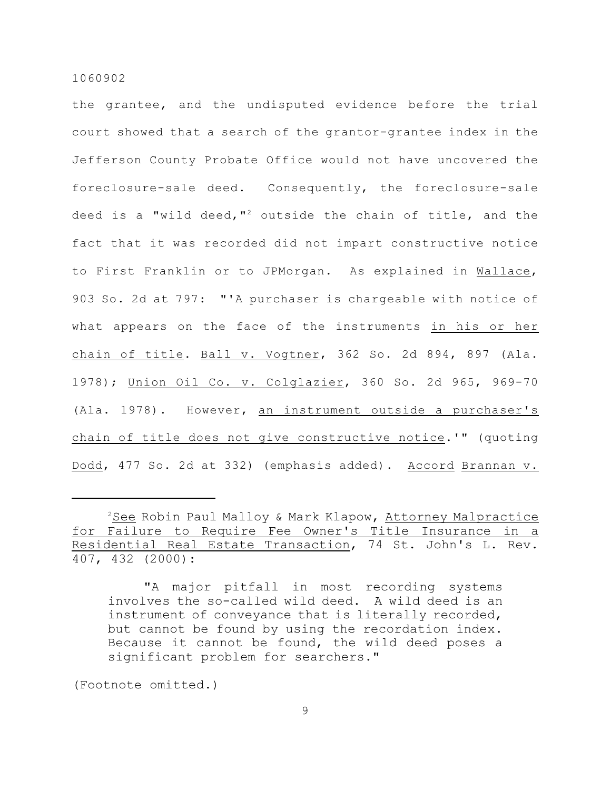the grantee, and the undisputed evidence before the trial court showed that a search of the grantor-grantee index in the Jefferson County Probate Office would not have uncovered the foreclosure-sale deed. Consequently, the foreclosure-sale deed is a "wild deed,"<sup>2</sup> outside the chain of title, and the fact that it was recorded did not impart constructive notice to First Franklin or to JPMorgan. As explained in Wallace, 903 So. 2d at 797: "'A purchaser is chargeable with notice of what appears on the face of the instruments in his or her chain of title. Ball v. Vogtner, 362 So. 2d 894, 897 (Ala. 1978); Union Oil Co. v. Colglazier, 360 So. 2d 965, 969-70 (Ala. 1978). However, an instrument outside a purchaser's chain of title does not give constructive notice.'" (quoting Dodd, 477 So. 2d at 332) (emphasis added). Accord Brannan v.

(Footnote omitted.)

 $2$ See Robin Paul Malloy & Mark Klapow, Attorney Malpractice for Failure to Require Fee Owner's Title Insurance in a Residential Real Estate Transaction, 74 St. John's L. Rev. 407, 432 (2000):

<sup>&</sup>quot;A major pitfall in most recording systems involves the so-called wild deed. A wild deed is an instrument of conveyance that is literally recorded, but cannot be found by using the recordation index. Because it cannot be found, the wild deed poses a significant problem for searchers."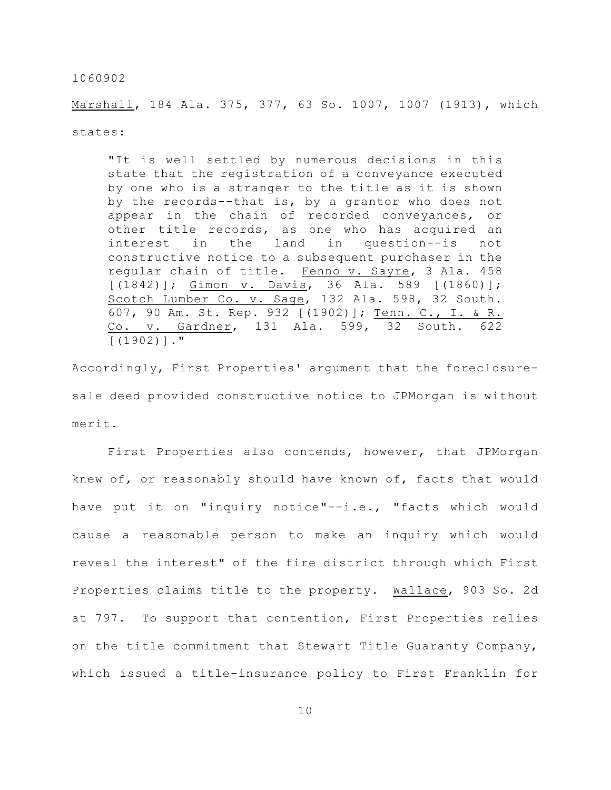Marshall, 184 Ala. 375, 377, 63 So. 1007, 1007 (1913), which states:

"It is well settled by numerous decisions in this state that the registration of a conveyance executed by one who is a stranger to the title as it is shown by the records--that is, by a grantor who does not appear in the chain of recorded conveyances, or other title records, as one who has acquired an interest in the land in question--is not constructive notice to a subsequent purchaser in the regular chain of title. Fenno v. Sayre, 3 Ala. 458 [(1842)]; Gimon v. Davis, 36 Ala. 589 [(1860)]; Scotch Lumber Co. v. Sage, 132 Ala. 598, 32 South. 607, 90 Am. St. Rep. 932 [(1902)]; Tenn. C., I. & R. Co. v. Gardner, 131 Ala. 599, 32 South. 622  $[ (1902) ]$ ."

Accordingly, First Properties' argument that the foreclosuresale deed provided constructive notice to JPMorgan is without merit.

First Properties also contends, however, that JPMorgan knew of, or reasonably should have known of, facts that would have put it on "inquiry notice"--i.e., "facts which would cause a reasonable person to make an inquiry which would reveal the interest" of the fire district through which First Properties claims title to the property. Wallace, 903 So. 2d at 797. To support that contention, First Properties relies on the title commitment that Stewart Title Guaranty Company, which issued a title-insurance policy to First Franklin for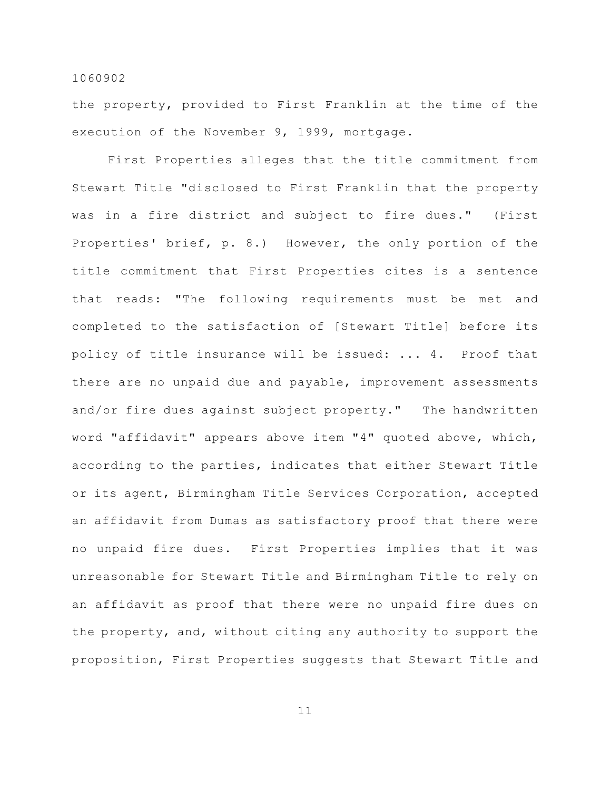the property, provided to First Franklin at the time of the execution of the November 9, 1999, mortgage.

First Properties alleges that the title commitment from Stewart Title "disclosed to First Franklin that the property was in a fire district and subject to fire dues." (First Properties' brief, p. 8.) However, the only portion of the title commitment that First Properties cites is a sentence that reads: "The following requirements must be met and completed to the satisfaction of [Stewart Title] before its policy of title insurance will be issued: ... 4. Proof that there are no unpaid due and payable, improvement assessments and/or fire dues against subject property." The handwritten word "affidavit" appears above item "4" quoted above, which, according to the parties, indicates that either Stewart Title or its agent, Birmingham Title Services Corporation, accepted an affidavit from Dumas as satisfactory proof that there were no unpaid fire dues. First Properties implies that it was unreasonable for Stewart Title and Birmingham Title to rely on an affidavit as proof that there were no unpaid fire dues on the property, and, without citing any authority to support the proposition, First Properties suggests that Stewart Title and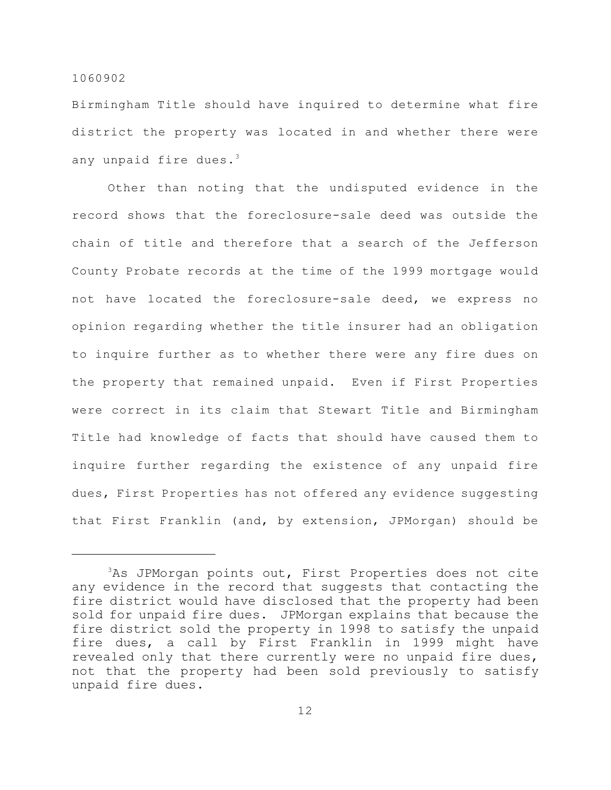Birmingham Title should have inquired to determine what fire district the property was located in and whether there were any unpaid fire dues. $3$ 

Other than noting that the undisputed evidence in the record shows that the foreclosure-sale deed was outside the chain of title and therefore that a search of the Jefferson County Probate records at the time of the 1999 mortgage would not have located the foreclosure-sale deed, we express no opinion regarding whether the title insurer had an obligation to inquire further as to whether there were any fire dues on the property that remained unpaid. Even if First Properties were correct in its claim that Stewart Title and Birmingham Title had knowledge of facts that should have caused them to inquire further regarding the existence of any unpaid fire dues, First Properties has not offered any evidence suggesting that First Franklin (and, by extension, JPMorgan) should be

 $3$ As JPMorgan points out, First Properties does not cite any evidence in the record that suggests that contacting the fire district would have disclosed that the property had been sold for unpaid fire dues. JPMorgan explains that because the fire district sold the property in 1998 to satisfy the unpaid fire dues, a call by First Franklin in 1999 might have revealed only that there currently were no unpaid fire dues, not that the property had been sold previously to satisfy unpaid fire dues.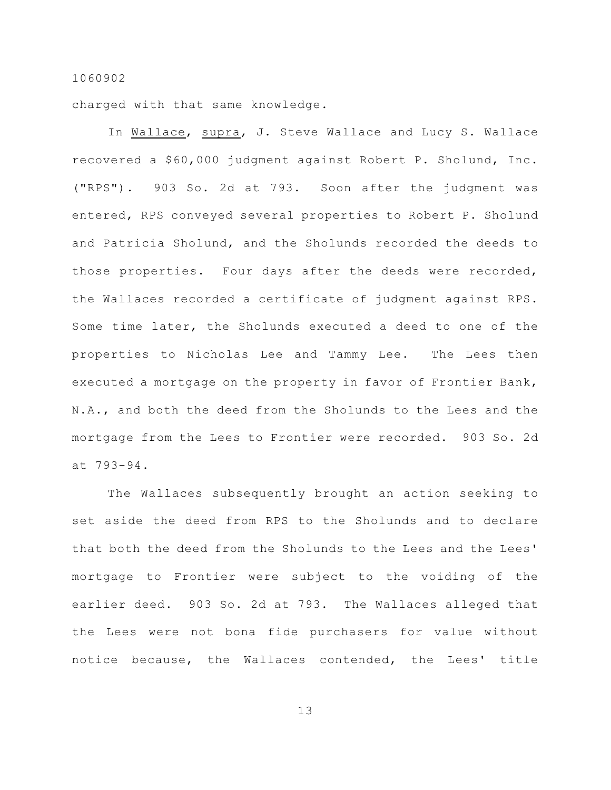charged with that same knowledge.

In Wallace, supra, J. Steve Wallace and Lucy S. Wallace recovered a \$60,000 judgment against Robert P. Sholund, Inc. ("RPS"). 903 So. 2d at 793. Soon after the judgment was entered, RPS conveyed several properties to Robert P. Sholund and Patricia Sholund, and the Sholunds recorded the deeds to those properties. Four days after the deeds were recorded, the Wallaces recorded a certificate of judgment against RPS. Some time later, the Sholunds executed a deed to one of the properties to Nicholas Lee and Tammy Lee. The Lees then executed a mortgage on the property in favor of Frontier Bank, N.A., and both the deed from the Sholunds to the Lees and the mortgage from the Lees to Frontier were recorded. 903 So. 2d at 793-94.

The Wallaces subsequently brought an action seeking to set aside the deed from RPS to the Sholunds and to declare that both the deed from the Sholunds to the Lees and the Lees' mortgage to Frontier were subject to the voiding of the earlier deed. 903 So. 2d at 793. The Wallaces alleged that the Lees were not bona fide purchasers for value without notice because, the Wallaces contended, the Lees' title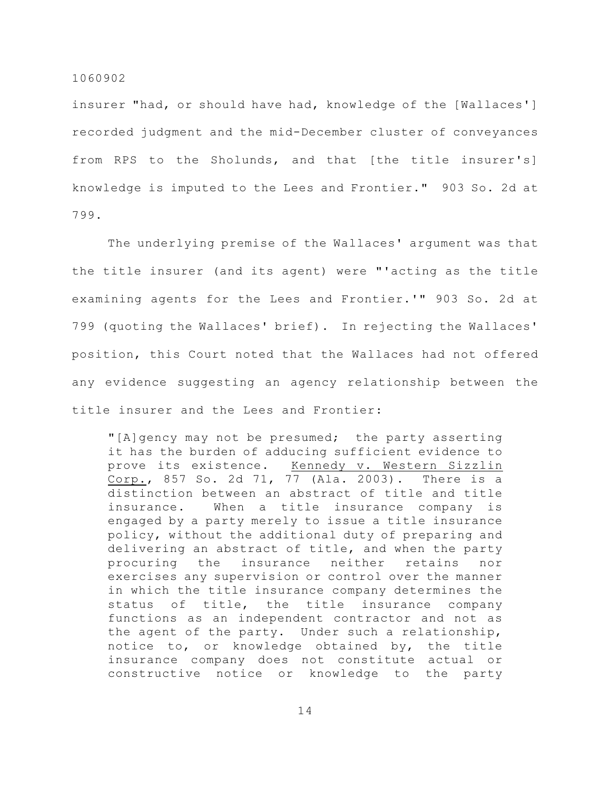insurer "had, or should have had, knowledge of the [Wallaces'] recorded judgment and the mid-December cluster of conveyances from RPS to the Sholunds, and that [the title insurer's] knowledge is imputed to the Lees and Frontier." 903 So. 2d at 799.

The underlying premise of the Wallaces' argument was that the title insurer (and its agent) were "'acting as the title examining agents for the Lees and Frontier.'" 903 So. 2d at 799 (quoting the Wallaces' brief). In rejecting the Wallaces' position, this Court noted that the Wallaces had not offered any evidence suggesting an agency relationship between the title insurer and the Lees and Frontier:

"[A]gency may not be presumed; the party asserting it has the burden of adducing sufficient evidence to prove its existence. Kennedy v. Western Sizzlin Corp., 857 So. 2d 71, 77 (Ala. 2003). There is a distinction between an abstract of title and title insurance. When a title insurance company is engaged by a party merely to issue a title insurance policy, without the additional duty of preparing and delivering an abstract of title, and when the party procuring the insurance neither retains nor exercises any supervision or control over the manner in which the title insurance company determines the status of title, the title insurance company functions as an independent contractor and not as the agent of the party. Under such a relationship, notice to, or knowledge obtained by, the title insurance company does not constitute actual or constructive notice or knowledge to the party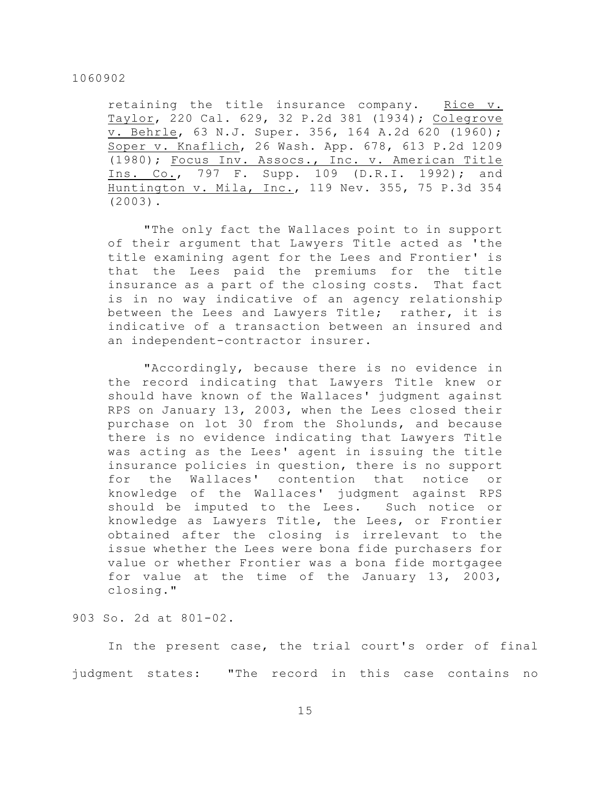retaining the title insurance company. Rice v. Taylor, 220 Cal. 629, 32 P.2d 381 (1934); Colegrove v. Behrle, 63 N.J. Super. 356, 164 A.2d 620 (1960); Soper v. Knaflich, 26 Wash. App. 678, 613 P.2d 1209 (1980); Focus Inv. Assocs., Inc. v. American Title Ins. Co., 797 F. Supp. 109 (D.R.I. 1992); and Huntington v. Mila, Inc., 119 Nev. 355, 75 P.3d 354 (2003).

"The only fact the Wallaces point to in support of their argument that Lawyers Title acted as 'the title examining agent for the Lees and Frontier' is that the Lees paid the premiums for the title insurance as a part of the closing costs. That fact is in no way indicative of an agency relationship between the Lees and Lawyers Title; rather, it is indicative of a transaction between an insured and an independent-contractor insurer.

"Accordingly, because there is no evidence in the record indicating that Lawyers Title knew or should have known of the Wallaces' judgment against RPS on January 13, 2003, when the Lees closed their purchase on lot 30 from the Sholunds, and because there is no evidence indicating that Lawyers Title was acting as the Lees' agent in issuing the title insurance policies in question, there is no support for the Wallaces' contention that notice or knowledge of the Wallaces' judgment against RPS should be imputed to the Lees. Such notice or knowledge as Lawyers Title, the Lees, or Frontier obtained after the closing is irrelevant to the issue whether the Lees were bona fide purchasers for value or whether Frontier was a bona fide mortgagee for value at the time of the January 13, 2003, closing."

903 So. 2d at 801-02.

In the present case, the trial court's order of final judgment states: "The record in this case contains no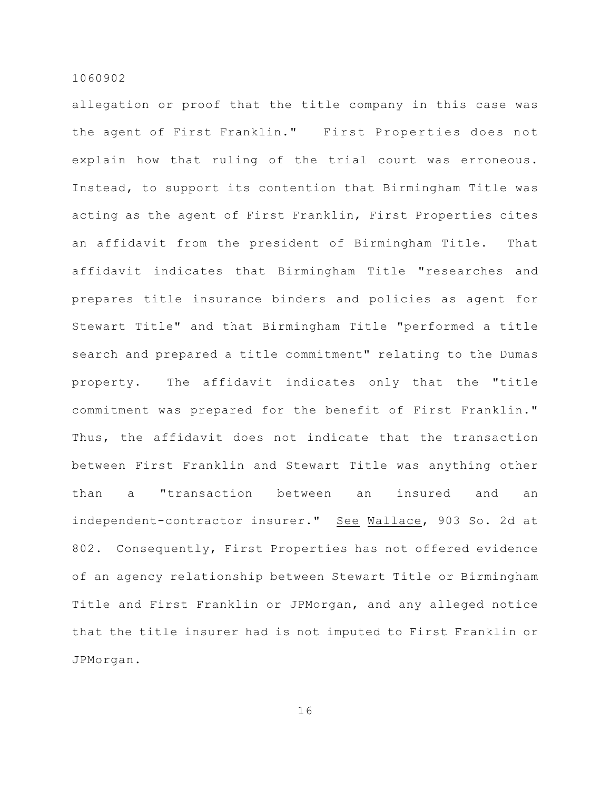allegation or proof that the title company in this case was the agent of First Franklin." First Properties does not explain how that ruling of the trial court was erroneous. Instead, to support its contention that Birmingham Title was acting as the agent of First Franklin, First Properties cites an affidavit from the president of Birmingham Title. That affidavit indicates that Birmingham Title "researches and prepares title insurance binders and policies as agent for Stewart Title" and that Birmingham Title "performed a title search and prepared a title commitment" relating to the Dumas property. The affidavit indicates only that the "title commitment was prepared for the benefit of First Franklin." Thus, the affidavit does not indicate that the transaction between First Franklin and Stewart Title was anything other than a "transaction between an insured and an independent-contractor insurer." See Wallace, 903 So. 2d at 802. Consequently, First Properties has not offered evidence of an agency relationship between Stewart Title or Birmingham Title and First Franklin or JPMorgan, and any alleged notice that the title insurer had is not imputed to First Franklin or JPMorgan.